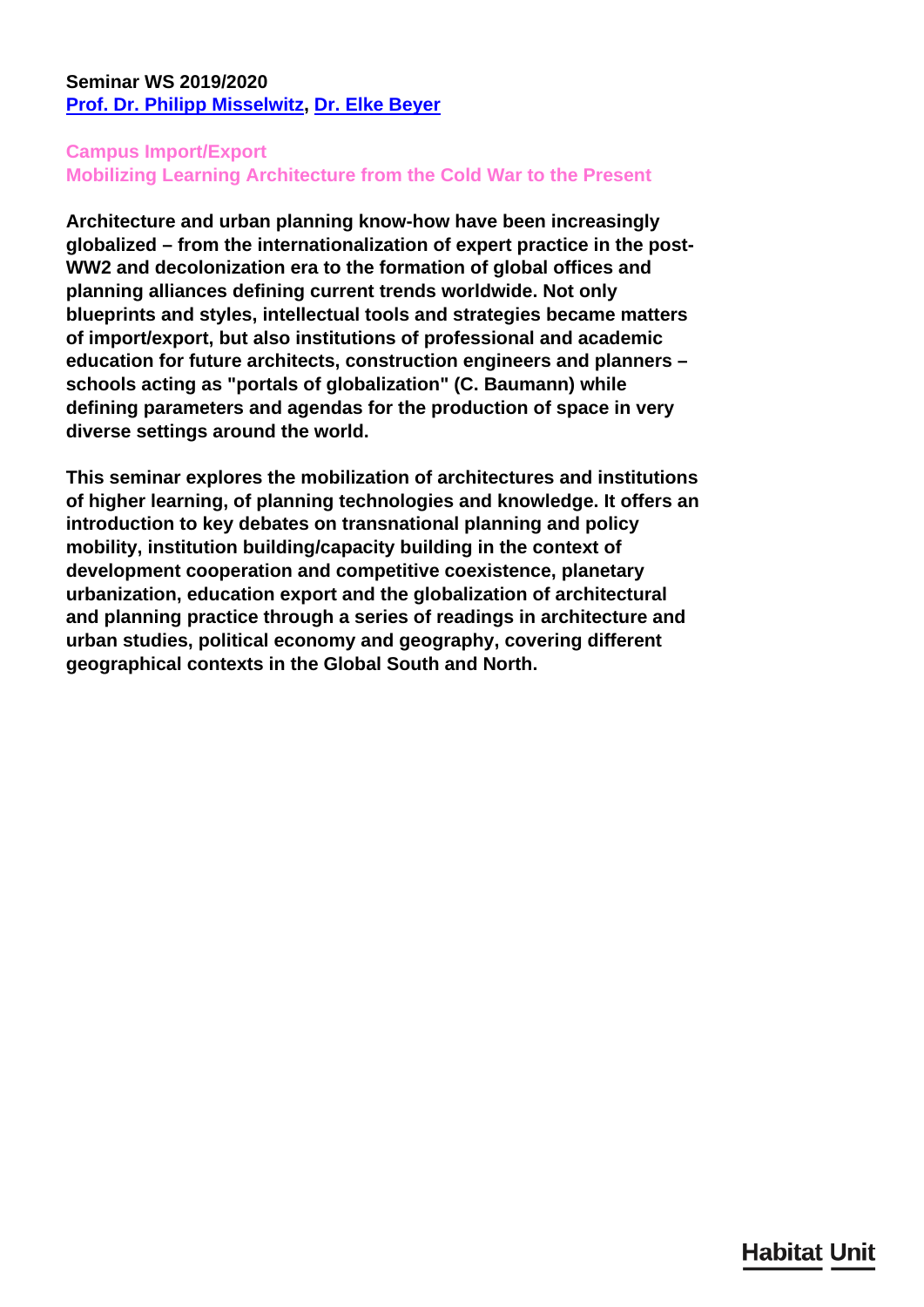## <span id="page-0-0"></span>**Seminar WS 2019/2020 [Prof. Dr. Philipp Misselwitz,](/en/team/philipp-misselwitz/) [Dr. Elke Beyer](/en/team/elke-beyer/)**

## **Campus Import/Export Mobilizing Learning Architecture from the Cold War to the Present**

**Architecture and urban planning know-how have been increasingly globalized – from the internationalization of expert practice in the post-WW2 and decolonization era to the formation of global offices and planning alliances defining current trends worldwide. Not only blueprints and styles, intellectual tools and strategies became matters of import/export, but also institutions of professional and academic education for future architects, construction engineers and planners – schools acting as "portals of globalization" (C. Baumann) while defining parameters and agendas for the production of space in very diverse settings around the world.**

**This seminar explores the mobilization of architectures and institutions of higher learning, of planning technologies and knowledge. It offers an introduction to key debates on transnational planning and policy mobility, institution building/capacity building in the context of development cooperation and competitive coexistence, planetary urbanization, education export and the globalization of architectural and planning practice through a series of readings in architecture and urban studies, political economy and geography, covering different geographical contexts in the Global South and North.**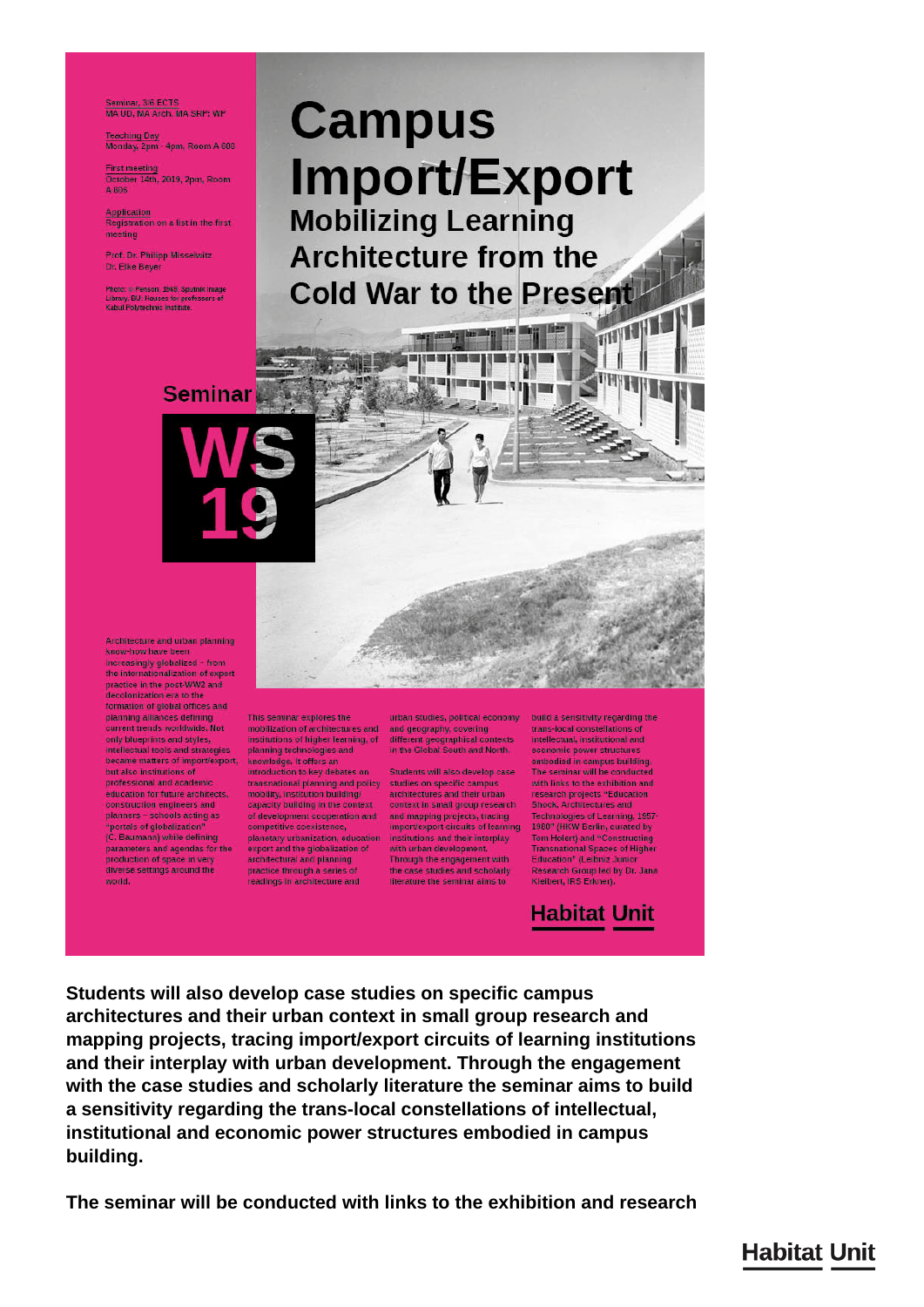Seminar, 3/6 ECTS<br>MA UD, MA Arch, MA SRP: WP

Teaching Day<br>Monday, 2pm - 4pm, Room A 608

First meeting<br>October 14th, 2019, 2pm, Room<br>A 806

Application<br>Registration on a list in the first meeting

Prof. Dr. Philipp Misselwitz Dr. Elke Beyer

Photo: @ Penson, 1966, Sputnik Image Library, BU: Houses for professors of<br>Kabul Polytechnic Institute.

# **Campus** Import/Export **Mobilizing Learning Architecture from the Cold War to the Present THEFFERE**

alisalii

**STEE THE** 

a mata

**Seminar** 

Architecture and urban planning know-how have been Increasingly globalized - from the internationalization of expert practice in the post-WW2 and decolonization era to the ormation of global offices and planning alliances defining<br>current trends worldwide, Not only blueprints and styles,<br>intellectual tools and strategies became matters of import/export,<br>but also institutions of professional and academic education for future architects, construction engineers and<br>planners – schools acting as "portals of globalization" (C. Baumann) while defining parameters and agendas for the<br>production of space in very diverse settings around the world.

This seminar explores the mobilization of architectures and and geography, covering<br>institutions of higher learning, of different geographical contexts<br>planning technologies and in the Global South and North. knowledge, it offers an<br>introduction to key debates on transnational planning and policy studies on specific campus<br>mobility, institution building/ architectures and their urban capacity building in the context<br>of development cooperation and

export and the globalization of<br>architectural and planning<br>practice through a series of readings in architecture and

urban studies, political economy | build a sensitivity regarding the

Students will also develop case context in small group research<br>and mapping projects, tracing competitive coexistence, importexport circuits of learning<br>planetary urbanization, education institutions and their interplay with urban development. with urban development.<br>Through the engagement with<br>the case studies and scholarly literature the seminar aims to

trans-local constellations of intellectual, institutional and economic power structure embodied in campus building.<br>The seminar will be conducted with links to the exhibition and<br>research projects "Education Shock, Architectures and Technologies of Learning, 1957<br>1980" (HKW Berlin, curated by<br>Tom Holert) and "Constructing Transnational Spaces of Higher<br>Education<sup>#</sup> (Leibniz Junior Research Group led by Dr. Jana Kleibert, IRS Erkner).

**Habitat Unit** 

Students will also develop case studies on specific campus architectures and their urban context in small group research and mapping projects, tracing import/export circuits of learning institutions and their interplay with urban development. Through the engagement with the case studies and scholarly literature the seminar aims to build a sensitivity regarding the trans-local constellations of intellectual, institutional and economic power structures embodied in campus building.

The seminar will be conducted with links to the exhibition and research

**Habitat Unit**